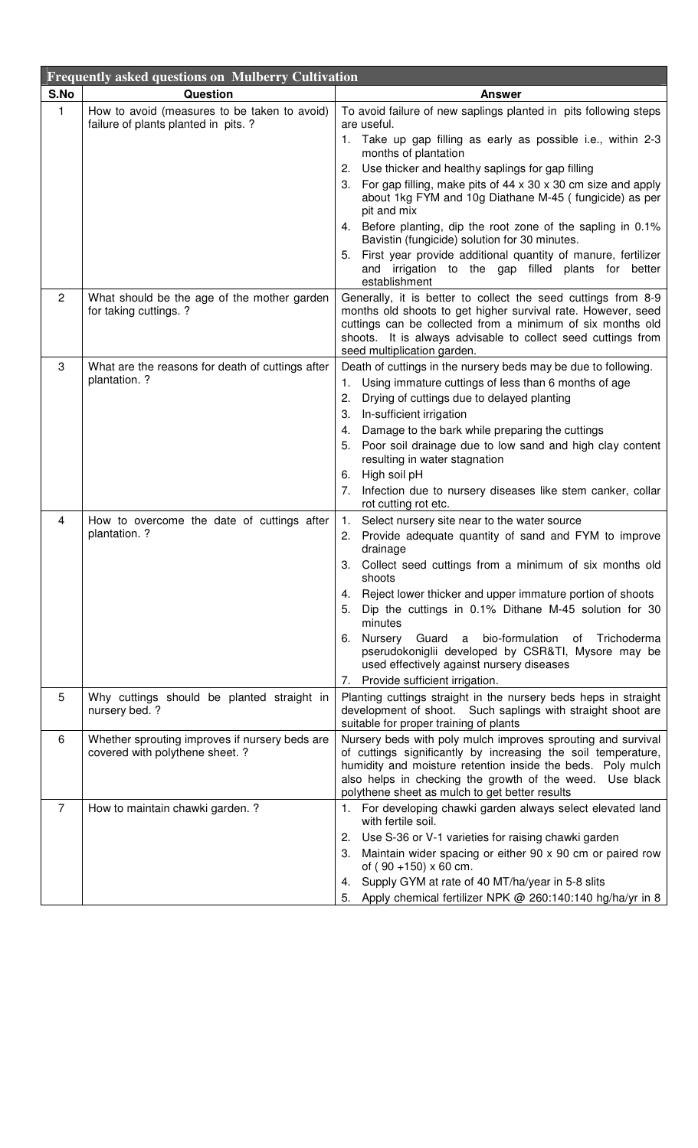| <b>Frequently asked questions on Mulberry Cultivation</b> |                                                                                      |                                                                                                                                                                                                                                                                                                            |
|-----------------------------------------------------------|--------------------------------------------------------------------------------------|------------------------------------------------------------------------------------------------------------------------------------------------------------------------------------------------------------------------------------------------------------------------------------------------------------|
| S.No                                                      | <b>Question</b>                                                                      | <b>Answer</b>                                                                                                                                                                                                                                                                                              |
| 1                                                         | How to avoid (measures to be taken to avoid)<br>failure of plants planted in pits. ? | To avoid failure of new saplings planted in pits following steps<br>are useful.                                                                                                                                                                                                                            |
|                                                           |                                                                                      | 1. Take up gap filling as early as possible i.e., within 2-3<br>months of plantation                                                                                                                                                                                                                       |
|                                                           |                                                                                      | Use thicker and healthy saplings for gap filling<br>2.                                                                                                                                                                                                                                                     |
|                                                           |                                                                                      | 3. For gap filling, make pits of 44 x 30 x 30 cm size and apply<br>about 1kg FYM and 10g Diathane M-45 (fungicide) as per<br>pit and mix                                                                                                                                                                   |
|                                                           |                                                                                      | Before planting, dip the root zone of the sapling in 0.1%<br>4.<br>Bavistin (fungicide) solution for 30 minutes.                                                                                                                                                                                           |
|                                                           |                                                                                      | First year provide additional quantity of manure, fertilizer<br>5.<br>and irrigation to the gap filled plants for better<br>establishment                                                                                                                                                                  |
| $\overline{2}$                                            | What should be the age of the mother garden<br>for taking cuttings. ?                | Generally, it is better to collect the seed cuttings from 8-9<br>months old shoots to get higher survival rate. However, seed<br>cuttings can be collected from a minimum of six months old<br>shoots. It is always advisable to collect seed cuttings from<br>seed multiplication garden.                 |
| 3                                                         | What are the reasons for death of cuttings after                                     | Death of cuttings in the nursery beds may be due to following.                                                                                                                                                                                                                                             |
|                                                           | plantation. ?                                                                        | Using immature cuttings of less than 6 months of age<br>1.                                                                                                                                                                                                                                                 |
|                                                           |                                                                                      | Drying of cuttings due to delayed planting<br>2.                                                                                                                                                                                                                                                           |
|                                                           |                                                                                      | 3.<br>In-sufficient irrigation                                                                                                                                                                                                                                                                             |
|                                                           |                                                                                      | Damage to the bark while preparing the cuttings<br>4.                                                                                                                                                                                                                                                      |
|                                                           |                                                                                      | Poor soil drainage due to low sand and high clay content<br>5.<br>resulting in water stagnation                                                                                                                                                                                                            |
|                                                           |                                                                                      | 6. High soil pH                                                                                                                                                                                                                                                                                            |
|                                                           |                                                                                      | Infection due to nursery diseases like stem canker, collar<br>7.<br>rot cutting rot etc.                                                                                                                                                                                                                   |
| 4                                                         | How to overcome the date of cuttings after                                           | Select nursery site near to the water source<br>1.                                                                                                                                                                                                                                                         |
|                                                           | plantation. ?                                                                        | Provide adequate quantity of sand and FYM to improve<br>2.<br>drainage                                                                                                                                                                                                                                     |
|                                                           |                                                                                      | Collect seed cuttings from a minimum of six months old<br>З.<br>shoots                                                                                                                                                                                                                                     |
|                                                           |                                                                                      | Reject lower thicker and upper immature portion of shoots<br>4.                                                                                                                                                                                                                                            |
|                                                           |                                                                                      | Dip the cuttings in 0.1% Dithane M-45 solution for 30<br>5.<br>minutes                                                                                                                                                                                                                                     |
|                                                           |                                                                                      | Nursery Guard a bio-formulation<br>Trichoderma<br>of<br>6.<br>pserudokoniglii developed by CSR&TI, Mysore may be<br>used effectively against nursery diseases                                                                                                                                              |
|                                                           |                                                                                      | Provide sufficient irrigation.<br>7.                                                                                                                                                                                                                                                                       |
| 5                                                         | Why cuttings should be planted straight in<br>nursery bed. ?                         | Planting cuttings straight in the nursery beds heps in straight<br>development of shoot. Such saplings with straight shoot are<br>suitable for proper training of plants                                                                                                                                   |
| 6                                                         | Whether sprouting improves if nursery beds are<br>covered with polythene sheet. ?    | Nursery beds with poly mulch improves sprouting and survival<br>of cuttings significantly by increasing the soil temperature,<br>humidity and moisture retention inside the beds. Poly mulch<br>also helps in checking the growth of the weed. Use black<br>polythene sheet as mulch to get better results |
| 7                                                         | How to maintain chawki garden. ?                                                     | For developing chawki garden always select elevated land<br>1.<br>with fertile soil.                                                                                                                                                                                                                       |
|                                                           |                                                                                      | Use S-36 or V-1 varieties for raising chawki garden<br>2.                                                                                                                                                                                                                                                  |
|                                                           |                                                                                      | Maintain wider spacing or either 90 x 90 cm or paired row<br>3.<br>of $(90 + 150) \times 60$ cm.                                                                                                                                                                                                           |
|                                                           |                                                                                      | Supply GYM at rate of 40 MT/ha/year in 5-8 slits<br>4.                                                                                                                                                                                                                                                     |
|                                                           |                                                                                      | Apply chemical fertilizer NPK @ 260:140:140 hg/ha/yr in 8<br>5.                                                                                                                                                                                                                                            |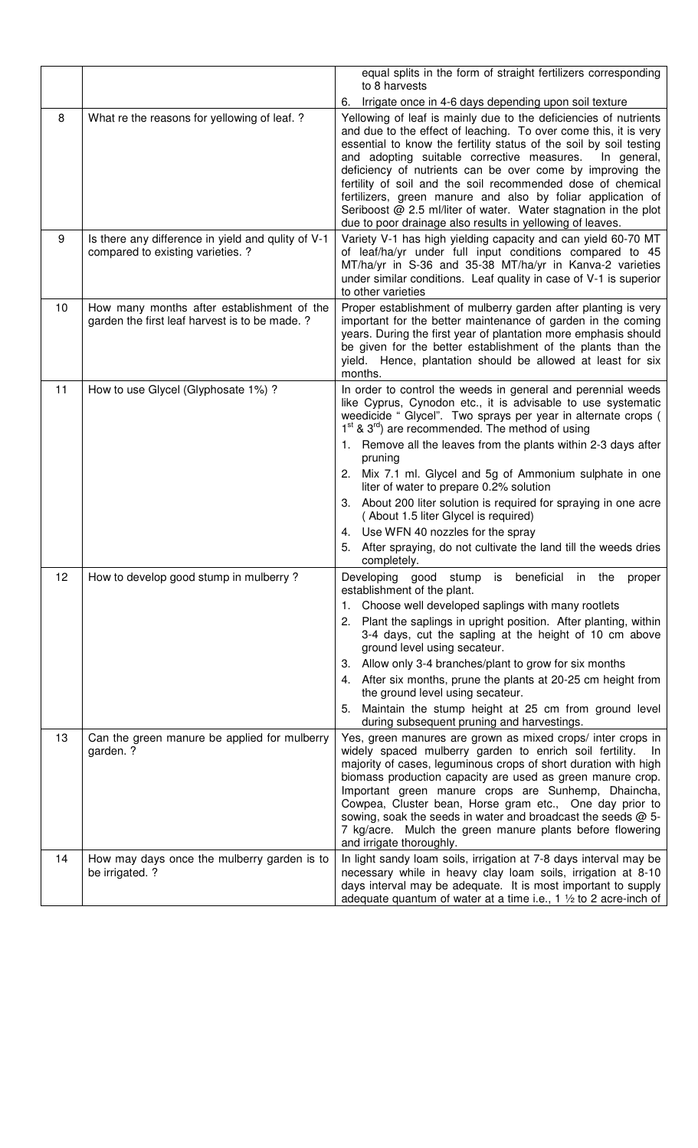|          |                                                                                              | equal splits in the form of straight fertilizers corresponding<br>to 8 harvests                                                                                                                                                                                                                                                                                                                                                                                                                                                                                                                                                                                                                                                                                                                   |
|----------|----------------------------------------------------------------------------------------------|---------------------------------------------------------------------------------------------------------------------------------------------------------------------------------------------------------------------------------------------------------------------------------------------------------------------------------------------------------------------------------------------------------------------------------------------------------------------------------------------------------------------------------------------------------------------------------------------------------------------------------------------------------------------------------------------------------------------------------------------------------------------------------------------------|
|          |                                                                                              | Irrigate once in 4-6 days depending upon soil texture<br>6.                                                                                                                                                                                                                                                                                                                                                                                                                                                                                                                                                                                                                                                                                                                                       |
| 8        | What re the reasons for yellowing of leaf. ?                                                 | Yellowing of leaf is mainly due to the deficiencies of nutrients<br>and due to the effect of leaching. To over come this, it is very<br>essential to know the fertility status of the soil by soil testing<br>and adopting suitable corrective measures.<br>In general,<br>deficiency of nutrients can be over come by improving the<br>fertility of soil and the soil recommended dose of chemical<br>fertilizers, green manure and also by foliar application of<br>Seriboost @ 2.5 ml/liter of water. Water stagnation in the plot<br>due to poor drainage also results in yellowing of leaves.                                                                                                                                                                                                |
| 9        | Is there any difference in yield and qulity of V-1<br>compared to existing varieties. ?      | Variety V-1 has high yielding capacity and can yield 60-70 MT<br>of leaf/ha/yr under full input conditions compared to 45<br>MT/ha/yr in S-36 and 35-38 MT/ha/yr in Kanva-2 varieties<br>under similar conditions. Leaf quality in case of V-1 is superior<br>to other varieties                                                                                                                                                                                                                                                                                                                                                                                                                                                                                                                  |
| 10       | How many months after establishment of the<br>garden the first leaf harvest is to be made. ? | Proper establishment of mulberry garden after planting is very<br>important for the better maintenance of garden in the coming<br>years. During the first year of plantation more emphasis should<br>be given for the better establishment of the plants than the<br>yield. Hence, plantation should be allowed at least for six<br>months.                                                                                                                                                                                                                                                                                                                                                                                                                                                       |
| 11<br>12 | How to use Glycel (Glyphosate 1%) ?<br>How to develop good stump in mulberry?                | In order to control the weeds in general and perennial weeds<br>like Cyprus, Cynodon etc., it is advisable to use systematic<br>weedicide " Glycel". Two sprays per year in alternate crops (<br>1 <sup>st</sup> & 3 <sup>rd</sup> ) are recommended. The method of using<br>1. Remove all the leaves from the plants within 2-3 days after<br>pruning<br>Mix 7.1 ml. Glycel and 5g of Ammonium sulphate in one<br>2.<br>liter of water to prepare 0.2% solution<br>About 200 liter solution is required for spraying in one acre<br>3.<br>(About 1.5 liter Glycel is required)<br>4. Use WFN 40 nozzles for the spray<br>After spraying, do not cultivate the land till the weeds dries<br>5.<br>completely.<br>Developing good stump is beneficial in the proper<br>establishment of the plant. |
|          |                                                                                              | 1. Choose well developed saplings with many rootlets<br>Plant the saplings in upright position. After planting, within<br>2.<br>3-4 days, cut the sapling at the height of 10 cm above<br>ground level using secateur.<br>Allow only 3-4 branches/plant to grow for six months<br>3.<br>4. After six months, prune the plants at 20-25 cm height from<br>the ground level using secateur.<br>Maintain the stump height at 25 cm from ground level<br>5.<br>during subsequent pruning and harvestings.                                                                                                                                                                                                                                                                                             |
| 13       | Can the green manure be applied for mulberry<br>garden. ?                                    | Yes, green manures are grown as mixed crops/ inter crops in<br>widely spaced mulberry garden to enrich soil fertility.<br>- In<br>majority of cases, leguminous crops of short duration with high<br>biomass production capacity are used as green manure crop.<br>Important green manure crops are Sunhemp, Dhaincha,<br>Cowpea, Cluster bean, Horse gram etc., One day prior to<br>sowing, soak the seeds in water and broadcast the seeds @ 5-<br>7 kg/acre. Mulch the green manure plants before flowering<br>and irrigate thoroughly.                                                                                                                                                                                                                                                        |
| 14       | How may days once the mulberry garden is to<br>be irrigated. ?                               | In light sandy loam soils, irrigation at 7-8 days interval may be<br>necessary while in heavy clay loam soils, irrigation at 8-10<br>days interval may be adequate. It is most important to supply<br>adequate quantum of water at a time i.e., 1 $\frac{1}{2}$ to 2 acre-inch of                                                                                                                                                                                                                                                                                                                                                                                                                                                                                                                 |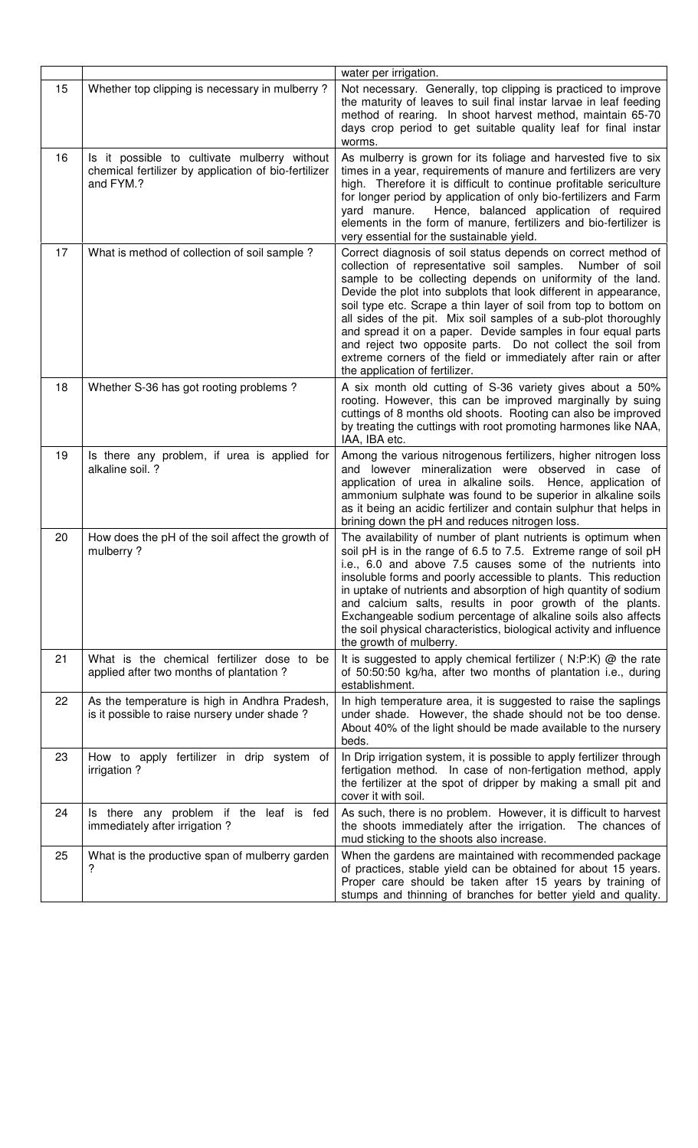|    |                                                                                                                   | water per irrigation.                                                                                                                                                                                                                                                                                                                                                                                                                                                                                                                                                                                                                      |
|----|-------------------------------------------------------------------------------------------------------------------|--------------------------------------------------------------------------------------------------------------------------------------------------------------------------------------------------------------------------------------------------------------------------------------------------------------------------------------------------------------------------------------------------------------------------------------------------------------------------------------------------------------------------------------------------------------------------------------------------------------------------------------------|
| 15 | Whether top clipping is necessary in mulberry?                                                                    | Not necessary. Generally, top clipping is practiced to improve<br>the maturity of leaves to suil final instar larvae in leaf feeding<br>method of rearing. In shoot harvest method, maintain 65-70<br>days crop period to get suitable quality leaf for final instar<br>worms.                                                                                                                                                                                                                                                                                                                                                             |
| 16 | Is it possible to cultivate mulberry without<br>chemical fertilizer by application of bio-fertilizer<br>and FYM.? | As mulberry is grown for its foliage and harvested five to six<br>times in a year, requirements of manure and fertilizers are very<br>high. Therefore it is difficult to continue profitable sericulture<br>for longer period by application of only bio-fertilizers and Farm<br>Hence, balanced application of required<br>yard manure.<br>elements in the form of manure, fertilizers and bio-fertilizer is<br>very essential for the sustainable yield.                                                                                                                                                                                 |
| 17 | What is method of collection of soil sample?                                                                      | Correct diagnosis of soil status depends on correct method of<br>collection of representative soil samples.<br>Number of soil<br>sample to be collecting depends on uniformity of the land.<br>Devide the plot into subplots that look different in appearance,<br>soil type etc. Scrape a thin layer of soil from top to bottom on<br>all sides of the pit. Mix soil samples of a sub-plot thoroughly<br>and spread it on a paper. Devide samples in four equal parts<br>and reject two opposite parts. Do not collect the soil from<br>extreme corners of the field or immediately after rain or after<br>the application of fertilizer. |
| 18 | Whether S-36 has got rooting problems?                                                                            | A six month old cutting of S-36 variety gives about a 50%<br>rooting. However, this can be improved marginally by suing<br>cuttings of 8 months old shoots. Rooting can also be improved<br>by treating the cuttings with root promoting harmones like NAA,<br>IAA, IBA etc.                                                                                                                                                                                                                                                                                                                                                               |
| 19 | Is there any problem, if urea is applied for<br>alkaline soil. ?                                                  | Among the various nitrogenous fertilizers, higher nitrogen loss<br>and lowever mineralization were observed in case of<br>application of urea in alkaline soils. Hence, application of<br>ammonium sulphate was found to be superior in alkaline soils<br>as it being an acidic fertilizer and contain sulphur that helps in<br>brining down the pH and reduces nitrogen loss.                                                                                                                                                                                                                                                             |
| 20 | How does the pH of the soil affect the growth of<br>mulberry?                                                     | The availability of number of plant nutrients is optimum when<br>soil pH is in the range of 6.5 to 7.5. Extreme range of soil pH<br>i.e., 6.0 and above 7.5 causes some of the nutrients into<br>insoluble forms and poorly accessible to plants. This reduction<br>in uptake of nutrients and absorption of high quantity of sodium<br>and calcium salts, results in poor growth of the plants.<br>Exchangeable sodium percentage of alkaline soils also affects<br>the soil physical characteristics, biological activity and influence<br>the growth of mulberry.                                                                       |
| 21 | What is the chemical fertilizer dose to be<br>applied after two months of plantation?                             | It is suggested to apply chemical fertilizer (N:P:K) @ the rate<br>of 50:50:50 kg/ha, after two months of plantation i.e., during<br>establishment.                                                                                                                                                                                                                                                                                                                                                                                                                                                                                        |
| 22 | As the temperature is high in Andhra Pradesh,<br>is it possible to raise nursery under shade?                     | In high temperature area, it is suggested to raise the saplings<br>under shade. However, the shade should not be too dense.<br>About 40% of the light should be made available to the nursery<br>beds.                                                                                                                                                                                                                                                                                                                                                                                                                                     |
| 23 | How to apply fertilizer in drip system of<br>irrigation?                                                          | In Drip irrigation system, it is possible to apply fertilizer through<br>fertigation method. In case of non-fertigation method, apply<br>the fertilizer at the spot of dripper by making a small pit and<br>cover it with soil.                                                                                                                                                                                                                                                                                                                                                                                                            |
| 24 | Is there any problem if the leaf is fed<br>immediately after irrigation?                                          | As such, there is no problem. However, it is difficult to harvest<br>the shoots immediately after the irrigation. The chances of<br>mud sticking to the shoots also increase.                                                                                                                                                                                                                                                                                                                                                                                                                                                              |
| 25 | What is the productive span of mulberry garden<br>?                                                               | When the gardens are maintained with recommended package<br>of practices, stable yield can be obtained for about 15 years.<br>Proper care should be taken after 15 years by training of<br>stumps and thinning of branches for better yield and quality.                                                                                                                                                                                                                                                                                                                                                                                   |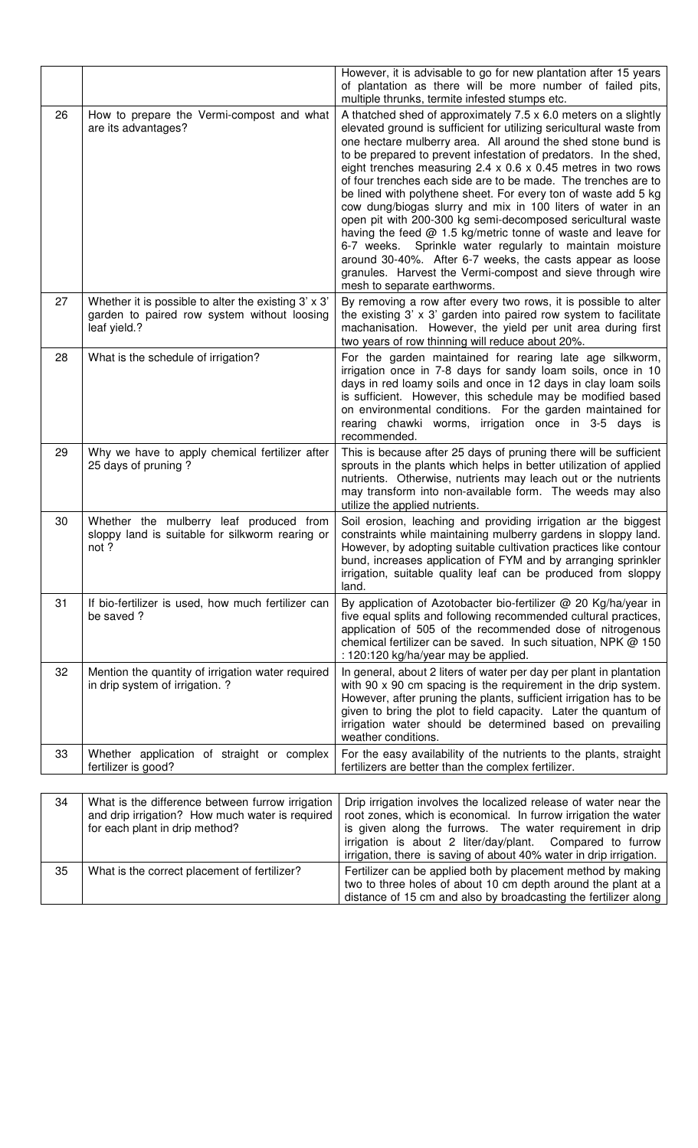|    |                                                                                                                                       | However, it is advisable to go for new plantation after 15 years<br>of plantation as there will be more number of failed pits,<br>multiple thrunks, termite infested stumps etc.                                                                                                                                                                                                                                                                                                                                                                                                                                                                                                                                                                                                                                                                                                                                  |
|----|---------------------------------------------------------------------------------------------------------------------------------------|-------------------------------------------------------------------------------------------------------------------------------------------------------------------------------------------------------------------------------------------------------------------------------------------------------------------------------------------------------------------------------------------------------------------------------------------------------------------------------------------------------------------------------------------------------------------------------------------------------------------------------------------------------------------------------------------------------------------------------------------------------------------------------------------------------------------------------------------------------------------------------------------------------------------|
| 26 | How to prepare the Vermi-compost and what<br>are its advantages?                                                                      | A thatched shed of approximately 7.5 x 6.0 meters on a slightly<br>elevated ground is sufficient for utilizing sericultural waste from<br>one hectare mulberry area. All around the shed stone bund is<br>to be prepared to prevent infestation of predators. In the shed,<br>eight trenches measuring $2.4 \times 0.6 \times 0.45$ metres in two rows<br>of four trenches each side are to be made. The trenches are to<br>be lined with polythene sheet. For every ton of waste add 5 kg<br>cow dung/biogas slurry and mix in 100 liters of water in an<br>open pit with 200-300 kg semi-decomposed sericultural waste<br>having the feed $@$ 1.5 kg/metric tonne of waste and leave for<br>6-7 weeks. Sprinkle water regularly to maintain moisture<br>around 30-40%. After 6-7 weeks, the casts appear as loose<br>granules. Harvest the Vermi-compost and sieve through wire<br>mesh to separate earthworms. |
| 27 | Whether it is possible to alter the existing 3' x 3'<br>garden to paired row system without loosing<br>leaf yield.?                   | By removing a row after every two rows, it is possible to alter<br>the existing $3' \times 3'$ garden into paired row system to facilitate<br>machanisation. However, the yield per unit area during first<br>two years of row thinning will reduce about 20%.                                                                                                                                                                                                                                                                                                                                                                                                                                                                                                                                                                                                                                                    |
| 28 | What is the schedule of irrigation?                                                                                                   | For the garden maintained for rearing late age silkworm,<br>irrigation once in 7-8 days for sandy loam soils, once in 10<br>days in red loamy soils and once in 12 days in clay loam soils<br>is sufficient. However, this schedule may be modified based<br>on environmental conditions. For the garden maintained for<br>rearing chawki worms, irrigation once in 3-5 days is<br>recommended.                                                                                                                                                                                                                                                                                                                                                                                                                                                                                                                   |
| 29 | Why we have to apply chemical fertilizer after<br>25 days of pruning?                                                                 | This is because after 25 days of pruning there will be sufficient<br>sprouts in the plants which helps in better utilization of applied<br>nutrients. Otherwise, nutrients may leach out or the nutrients<br>may transform into non-available form. The weeds may also<br>utilize the applied nutrients.                                                                                                                                                                                                                                                                                                                                                                                                                                                                                                                                                                                                          |
| 30 | Whether the mulberry leaf produced from<br>sloppy land is suitable for silkworm rearing or<br>not ?                                   | Soil erosion, leaching and providing irrigation ar the biggest<br>constraints while maintaining mulberry gardens in sloppy land.<br>However, by adopting suitable cultivation practices like contour<br>bund, increases application of FYM and by arranging sprinkler<br>irrigation, suitable quality leaf can be produced from sloppy<br>land.                                                                                                                                                                                                                                                                                                                                                                                                                                                                                                                                                                   |
| 31 | If bio-fertilizer is used, how much fertilizer can<br>be saved?                                                                       | By application of Azotobacter bio-fertilizer @ 20 Kg/ha/year in<br>five equal splits and following recommended cultural practices,<br>application of 505 of the recommended dose of nitrogenous<br>chemical fertilizer can be saved. In such situation, NPK @ 150<br>: 120:120 kg/ha/year may be applied.                                                                                                                                                                                                                                                                                                                                                                                                                                                                                                                                                                                                         |
| 32 | Mention the quantity of irrigation water required<br>in drip system of irrigation. ?                                                  | In general, about 2 liters of water per day per plant in plantation<br>with 90 x 90 cm spacing is the requirement in the drip system.<br>However, after pruning the plants, sufficient irrigation has to be<br>given to bring the plot to field capacity. Later the quantum of<br>irrigation water should be determined based on prevailing<br>weather conditions.                                                                                                                                                                                                                                                                                                                                                                                                                                                                                                                                                |
| 33 | Whether application of straight or complex<br>fertilizer is good?                                                                     | For the easy availability of the nutrients to the plants, straight<br>fertilizers are better than the complex fertilizer.                                                                                                                                                                                                                                                                                                                                                                                                                                                                                                                                                                                                                                                                                                                                                                                         |
|    |                                                                                                                                       |                                                                                                                                                                                                                                                                                                                                                                                                                                                                                                                                                                                                                                                                                                                                                                                                                                                                                                                   |
| 34 | What is the difference between furrow irrigation<br>and drip irrigation? How much water is required<br>for each plant in drip method? | Drip irrigation involves the localized release of water near the<br>root zones, which is economical. In furrow irrigation the water<br>is given along the furrows. The water requirement in drip<br>irrigation is about 2 liter/day/plant.<br>Compared to furrow<br>irrigation, there is saving of about 40% water in drip irrigation.                                                                                                                                                                                                                                                                                                                                                                                                                                                                                                                                                                            |
| 35 | What is the correct placement of fertilizer?                                                                                          | Fertilizer can be applied both by placement method by making<br>two to three holes of about 10 cm depth around the plant at a<br>distance of 15 cm and also by broadcasting the fertilizer along                                                                                                                                                                                                                                                                                                                                                                                                                                                                                                                                                                                                                                                                                                                  |